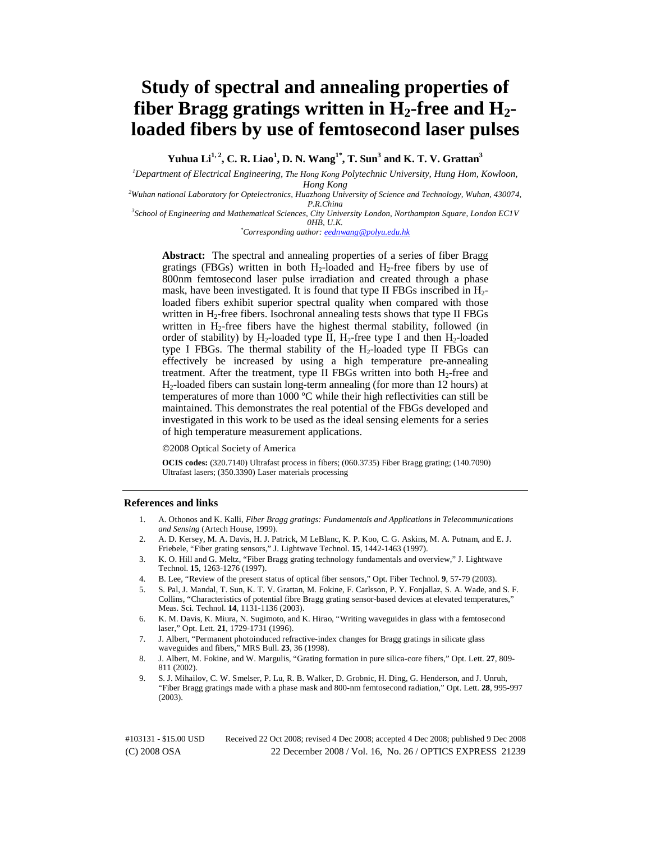# **Study of spectral and annealing properties of fiber Bragg gratings written in**  $H_2$ **-free and**  $H_2$ **loaded fibers by use of femtosecond laser pulses**

**Yuhua Li1, 2, C. R. Liao1 , D. N. Wang1\*, T. Sun3 and K. T. V. Grattan3**

*1 Department of Electrical Engineering, The Hong Kong Polytechnic University, Hung Hom, Kowloon,* 

*Hong Kong <sup>2</sup> Wuhan national Laboratory for Optelectronics, Huazhong University of Science and Technology, Wuhan, 430074,* 

*P.R.China 3 School of Engineering and Mathematical Sciences, City University London, Northampton Square, London EC1V* 

*0HB, U.K. \* Corresponding author: eednwang@polyu.edu.hk*

Abstract: The spectral and annealing properties of a series of fiber Bragg gratings (FBGs) written in both  $H_2$ -loaded and  $H_2$ -free fibers by use of 800nm femtosecond laser pulse irradiation and created through a phase mask, have been investigated. It is found that type II FBGs inscribed in  $H_2$ loaded fibers exhibit superior spectral quality when compared with those written in  $H_2$ -free fibers. Isochronal annealing tests shows that type II FBGs written in  $H_2$ -free fibers have the highest thermal stability, followed (in order of stability) by H<sub>2</sub>-loaded type II, H<sub>2</sub>-free type I and then H<sub>2</sub>-loaded type I FBGs. The thermal stability of the H<sub>2</sub>-loaded type II FBGs can effectively be increased by using a high temperature pre-annealing treatment. After the treatment, type II FBGs written into both  $H_2$ -free and H2-loaded fibers can sustain long-term annealing (for more than 12 hours) at temperatures of more than 1000 ºC while their high reflectivities can still be maintained. This demonstrates the real potential of the FBGs developed and investigated in this work to be used as the ideal sensing elements for a series of high temperature measurement applications.

©2008 Optical Society of America

**OCIS codes:** (320.7140) Ultrafast process in fibers; (060.3735) Fiber Bragg grating; (140.7090) Ultrafast lasers; (350.3390) Laser materials processing

# **References and links**

- 1. A. Othonos and K. Kalli, *Fiber Bragg gratings: Fundamentals and Applications in Telecommunications and Sensing* (Artech House, 1999).
- 2. A. D. Kersey, M. A. Davis, H. J. Patrick, M LeBlanc, K. P. Koo, C. G. Askins, M. A. Putnam, and E. J. Friebele, "Fiber grating sensors," J. Lightwave Technol. **15**, 1442-1463 (1997).
- 3. K. O. Hill and G. Meltz, "Fiber Bragg grating technology fundamentals and overview," J. Lightwave Technol. **15**, 1263-1276 (1997).
- 4. B. Lee, "Review of the present status of optical fiber sensors," Opt. Fiber Technol. **9**, 57-79 (2003).
- 5. S. Pal, J. Mandal, T. Sun, K. T. V. Grattan, M. Fokine, F. Carlsson, P. Y. Fonjallaz, S. A. Wade, and S. F. Collins, "Characteristics of potential fibre Bragg grating sensor-based devices at elevated temperatures," Meas. Sci. Technol. **14**, 1131-1136 (2003).
- 6. K. M. Davis, K. Miura, N. Sugimoto, and K. Hirao, "Writing waveguides in glass with a femtosecond laser," Opt. Lett. **21**, 1729-1731 (1996).
- 7. J. Albert, "Permanent photoinduced refractive-index changes for Bragg gratings in silicate glass waveguides and fibers," MRS Bull. **23**, 36 (1998).
- 8. J. Albert, M. Fokine, and W. Margulis, "Grating formation in pure silica-core fibers," Opt. Lett. **27**, 809- 811 (2002).
- 9. S. J. Mihailov, C. W. Smelser, P. Lu, R. B. Walker, D. Grobnic, H. Ding, G. Henderson, and J. Unruh, "Fiber Bragg gratings made with a phase mask and 800-nm femtosecond radiation," Opt. Lett. **28**, 995-997 (2003).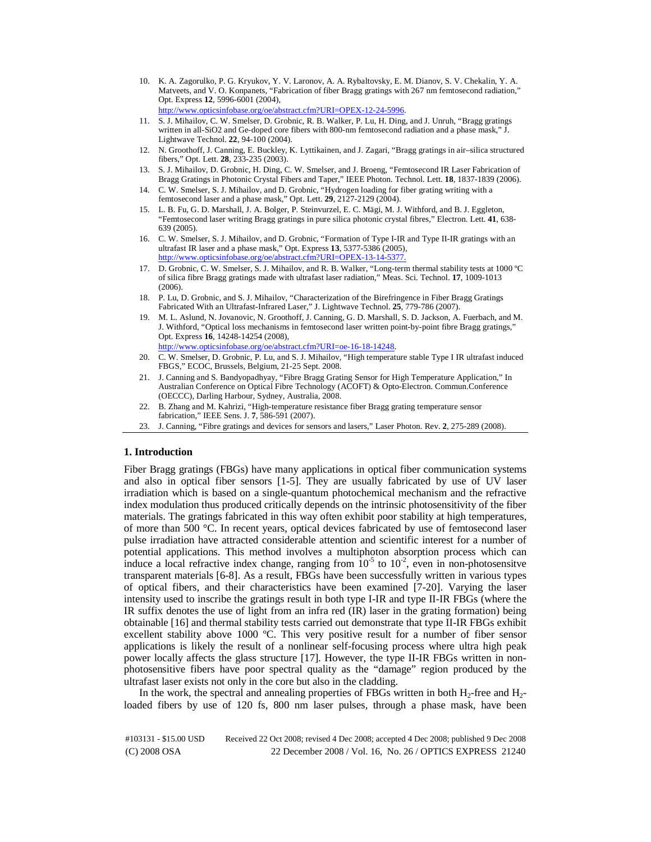- 10. K. A. Zagorulko, P. G. Kryukov, Y. V. Laronov, A. A. Rybaltovsky, E. M. Dianov, S. V. Chekalin, Y. A. Matveets, and V. O. Konpanets, "Fabrication of fiber Bragg gratings with 267 nm femtosecond radiation," Opt. Express **12**, 5996-6001 (2004), http://www.opticsinfobase.org/oe/abstract.cfm?URI=OPEX-12-24-5996.
- 11. S. J. Mihailov, C. W. Smelser, D. Grobnic, R. B. Walker, P. Lu, H. Ding, and J. Unruh, "Bragg gratings written in all-SiO2 and Ge-doped core fibers with 800-nm femtosecond radiation and a phase mask," J. Lightwave Technol. **22**, 94-100 (2004).
- 12. N. Groothoff, J. Canning, E. Buckley, K. Lyttikainen, and J. Zagari, "Bragg gratings in air–silica structured fibers," Opt. Lett. **28**, 233-235 (2003).
- 13. S. J. Mihailov, D. Grobnic, H. Ding, C. W. Smelser, and J. Broeng, "Femtosecond IR Laser Fabrication of Bragg Gratings in Photonic Crystal Fibers and Taper," IEEE Photon. Technol. Lett. **18**, 1837-1839 (2006).
- 14. C. W. Smelser, S. J. Mihailov, and D. Grobnic, "Hydrogen loading for fiber grating writing with a femtosecond laser and a phase mask," Opt. Lett. **29**, 2127-2129 (2004).
- 15. L. B. Fu, G. D. Marshall, J. A. Bolger, P. Steinvurzel, E. C. Mägi, M. J. Withford, and B. J. Eggleton, "Femtosecond laser writing Bragg gratings in pure silica photonic crystal fibres," Electron. Lett. **41**, 638- 639 (2005).
- 16. C. W. Smelser, S. J. Mihailov, and D. Grobnic, "Formation of Type I-IR and Type II-IR gratings with an ultrafast IR laser and a phase mask," Opt. Express **13**, 5377-5386 (2005), http://www.opticsinfobase.org/oe/abstract.cfm?URI=OPEX-13-14-5377.
- 17. D. Grobnic, C. W. Smelser, S. J. Mihailov, and R. B. Walker, "Long-term thermal stability tests at 1000 ºC of silica fibre Bragg gratings made with ultrafast laser radiation," Meas. Sci. Technol. **17**, 1009-1013 (2006).
- 18. P. Lu, D. Grobnic, and S. J. Mihailov, "Characterization of the Birefringence in Fiber Bragg Gratings Fabricated With an Ultrafast-Infrared Laser," J. Lightwave Technol. **25**, 779-786 (2007).
- 19. M. L. Aslund, N. Jovanovic, N. Groothoff, J. Canning, G. D. Marshall, S. D. Jackson, A. Fuerbach, and M. J. Withford, "Optical loss mechanisms in femtosecond laser written point-by-point fibre Bragg gratings," Opt. Express **16**, 14248-14254 (2008), http://www.opticsinfobase.org/oe/abstract.cfm?URI=oe-16-18-14248.
- 20. C. W. Smelser, D. Grobnic, P. Lu, and S. J. Mihailov, "High temperature stable Type I IR ultrafast induced FBGS," ECOC, Brussels, Belgium, 21-25 Sept. 2008.
- 21. J. Canning and S. Bandyopadhyay, "Fibre Bragg Grating Sensor for High Temperature Application," In Australian Conference on Optical Fibre Technology (ACOFT) & Opto-Electron. Commun.Conference (OECCC), Darling Harbour, Sydney, Australia, 2008.
- 22. B. Zhang and M. Kahrizi, "High-temperature resistance fiber Bragg grating temperature sensor fabrication," IEEE Sens. J. **7**, 586-591 (2007).
- 23. J. Canning, "Fibre gratings and devices for sensors and lasers," Laser Photon. Rev. **2**, 275-289 (2008).

# **1. Introduction**

Fiber Bragg gratings (FBGs) have many applications in optical fiber communication systems and also in optical fiber sensors [1-5]. They are usually fabricated by use of UV laser irradiation which is based on a single-quantum photochemical mechanism and the refractive index modulation thus produced critically depends on the intrinsic photosensitivity of the fiber materials. The gratings fabricated in this way often exhibit poor stability at high temperatures, of more than 500 °C. In recent years, optical devices fabricated by use of femtosecond laser pulse irradiation have attracted considerable attention and scientific interest for a number of potential applications. This method involves a multiphoton absorption process which can induce a local refractive index change, ranging from  $10^{-5}$  to  $10^{-2}$ , even in non-photosensitve transparent materials [6-8]. As a result, FBGs have been successfully written in various types of optical fibers, and their characteristics have been examined [7-20]. Varying the laser intensity used to inscribe the gratings result in both type I-IR and type II-IR FBGs (where the IR suffix denotes the use of light from an infra red (IR) laser in the grating formation) being obtainable [16] and thermal stability tests carried out demonstrate that type II-IR FBGs exhibit excellent stability above 1000 ºC. This very positive result for a number of fiber sensor applications is likely the result of a nonlinear self-focusing process where ultra high peak power locally affects the glass structure [17]. However, the type II-IR FBGs written in nonphotosensitive fibers have poor spectral quality as the "damage" region produced by the ultrafast laser exists not only in the core but also in the cladding.

In the work, the spectral and annealing properties of FBGs written in both  $H_2$ -free and  $H_2$ loaded fibers by use of 120 fs, 800 nm laser pulses, through a phase mask, have been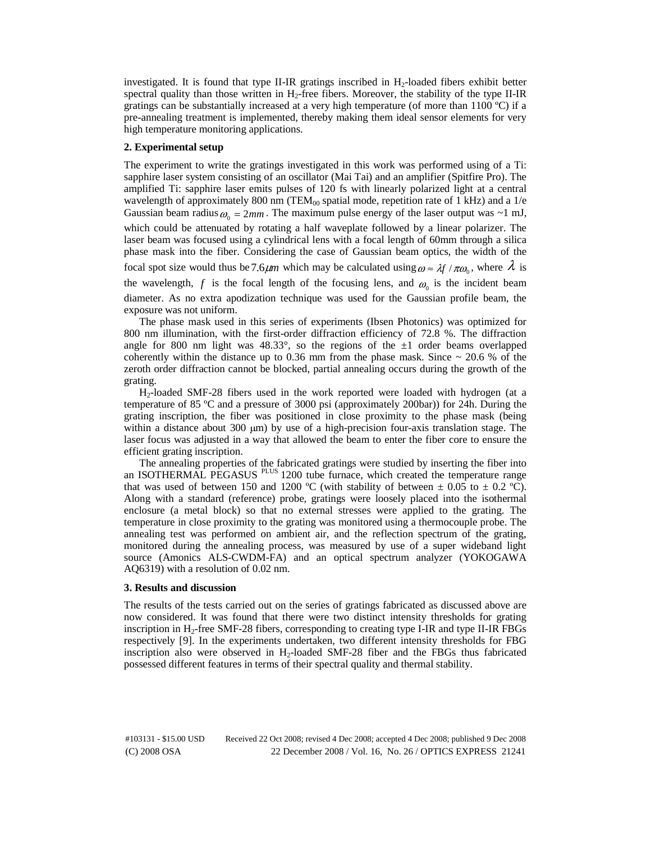investigated. It is found that type II-IR gratings inscribed in  $H_2$ -loaded fibers exhibit better spectral quality than those written in  $H_2$ -free fibers. Moreover, the stability of the type II-IR gratings can be substantially increased at a very high temperature (of more than 1100 ºC) if a pre-annealing treatment is implemented, thereby making them ideal sensor elements for very high temperature monitoring applications.

# **2. Experimental setup**

The experiment to write the gratings investigated in this work was performed using of a Ti: sapphire laser system consisting of an oscillator (Mai Tai) and an amplifier (Spitfire Pro). The amplified Ti: sapphire laser emits pulses of 120 fs with linearly polarized light at a central wavelength of approximately 800 nm (TEM $_{00}$  spatial mode, repetition rate of 1 kHz) and a 1/e Gaussian beam radius  $\omega_0 = 2mm$ . The maximum pulse energy of the laser output was  $\sim 1$  mJ, which could be attenuated by rotating a half waveplate followed by a linear polarizer. The laser beam was focused using a cylindrical lens with a focal length of 60mm through a silica phase mask into the fiber. Considering the case of Gaussian beam optics, the width of the focal spot size would thus be 7.6 $\mu$ *m* which may be calculated using  $\omega \approx \lambda f / \pi \omega_0$ , where  $\lambda$  is the wavelength, *f* is the focal length of the focusing lens, and  $\omega_0$  is the incident beam diameter. As no extra apodization technique was used for the Gaussian profile beam, the exposure was not uniform.

The phase mask used in this series of experiments (Ibsen Photonics) was optimized for 800 nm illumination, with the first-order diffraction efficiency of 72.8 %. The diffraction angle for 800 nm light was  $48.33^{\circ}$ , so the regions of the  $\pm 1$  order beams overlapped coherently within the distance up to  $0.36$  mm from the phase mask. Since  $\sim 20.6$  % of the zeroth order diffraction cannot be blocked, partial annealing occurs during the growth of the grating.

H2-loaded SMF-28 fibers used in the work reported were loaded with hydrogen (at a temperature of 85 ºC and a pressure of 3000 psi (approximately 200bar)) for 24h. During the grating inscription, the fiber was positioned in close proximity to the phase mask (being within a distance about 300  $\mu$ m) by use of a high-precision four-axis translation stage. The laser focus was adjusted in a way that allowed the beam to enter the fiber core to ensure the efficient grating inscription.

The annealing properties of the fabricated gratings were studied by inserting the fiber into an ISOTHERMAL PEGASUS <sup>PLUS</sup> 1200 tube furnace, which created the temperature range that was used of between 150 and 1200 °C (with stability of between  $\pm$  0.05 to  $\pm$  0.2 °C). Along with a standard (reference) probe, gratings were loosely placed into the isothermal enclosure (a metal block) so that no external stresses were applied to the grating. The temperature in close proximity to the grating was monitored using a thermocouple probe. The annealing test was performed on ambient air, and the reflection spectrum of the grating, monitored during the annealing process, was measured by use of a super wideband light source (Amonics ALS-CWDM-FA) and an optical spectrum analyzer (YOKOGAWA AQ6319) with a resolution of 0.02 nm.

### **3. Results and discussion**

The results of the tests carried out on the series of gratings fabricated as discussed above are now considered. It was found that there were two distinct intensity thresholds for grating inscription in  $H_2$ -free SMF-28 fibers, corresponding to creating type I-IR and type II-IR FBGs respectively [9]. In the experiments undertaken, two different intensity thresholds for FBG inscription also were observed in  $H_2$ -loaded SMF-28 fiber and the FBGs thus fabricated possessed different features in terms of their spectral quality and thermal stability.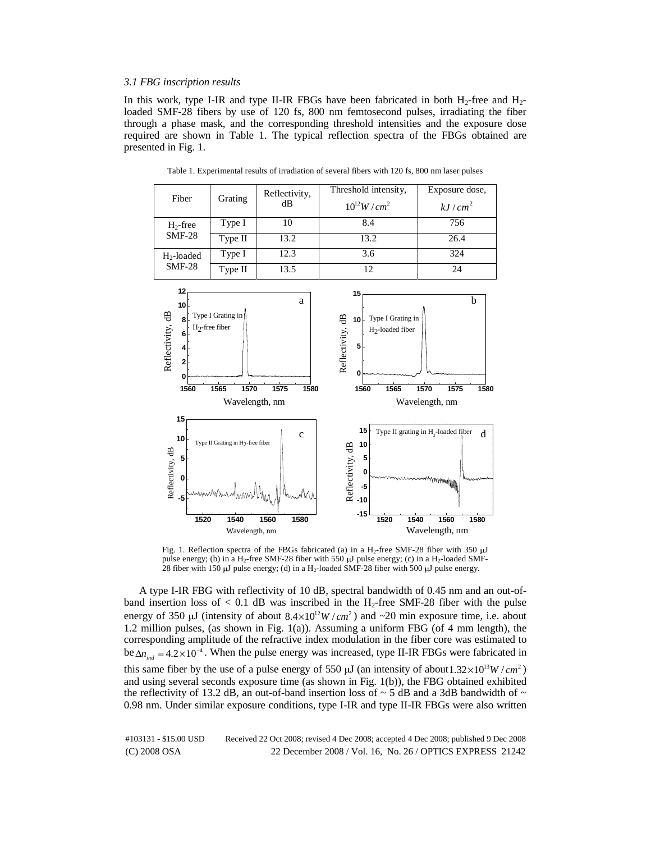# *3.1 FBG inscription results*

In this work, type I-IR and type II-IR FBGs have been fabricated in both  $H_2$ -free and  $H_2$ loaded SMF-28 fibers by use of 120 fs, 800 nm femtosecond pulses, irradiating the fiber through a phase mask, and the corresponding threshold intensities and the exposure dose required are shown in Table 1. The typical reflection spectra of the FBGs obtained are presented in Fig. 1.



Table 1. Experimental results of irradiation of several fibers with 120 fs, 800 nm laser pulses

Fig. 1. Reflection spectra of the FBGs fabricated (a) in a H<sub>2</sub>-free SMF-28 fiber with 350  $\mu$ J pulse energy; (b) in a H<sub>2</sub>-free SMF-28 fiber with 550  $\mu$ J pulse energy; (c) in a H<sub>2</sub>-loaded SMF-28 fiber with 150 μJ pulse energy; (d) in a H<sub>2</sub>-loaded SMF-28 fiber with 500 μJ pulse energy.

A type I-IR FBG with reflectivity of 10 dB, spectral bandwidth of 0.45 nm and an out-ofband insertion loss of  $< 0.1$  dB was inscribed in the H<sub>2</sub>-free SMF-28 fiber with the pulse energy of 350  $\mu$ J (intensity of about  $8.4 \times 10^{12} W/cm^2$ ) and  $\sim$ 20 min exposure time, i.e. about 1.2 million pulses, (as shown in Fig. 1(a)). Assuming a uniform FBG (of 4 mm length), the corresponding amplitude of the refractive index modulation in the fiber core was estimated to  $be \Delta n_{i,j} = 4.2 \times 10^{-4}$ . When the pulse energy was increased, type II-IR FBGs were fabricated in this same fiber by the use of a pulse energy of 550  $\mu$ J (an intensity of about 1.32×10<sup>13</sup>W/*cm*<sup>2</sup>) and using several seconds exposure time (as shown in Fig. 1(b)), the FBG obtained exhibited the reflectivity of 13.2 dB, an out-of-band insertion loss of  $\sim$  5 dB and a 3dB bandwidth of  $\sim$ 0.98 nm. Under similar exposure conditions, type I-IR and type II-IR FBGs were also written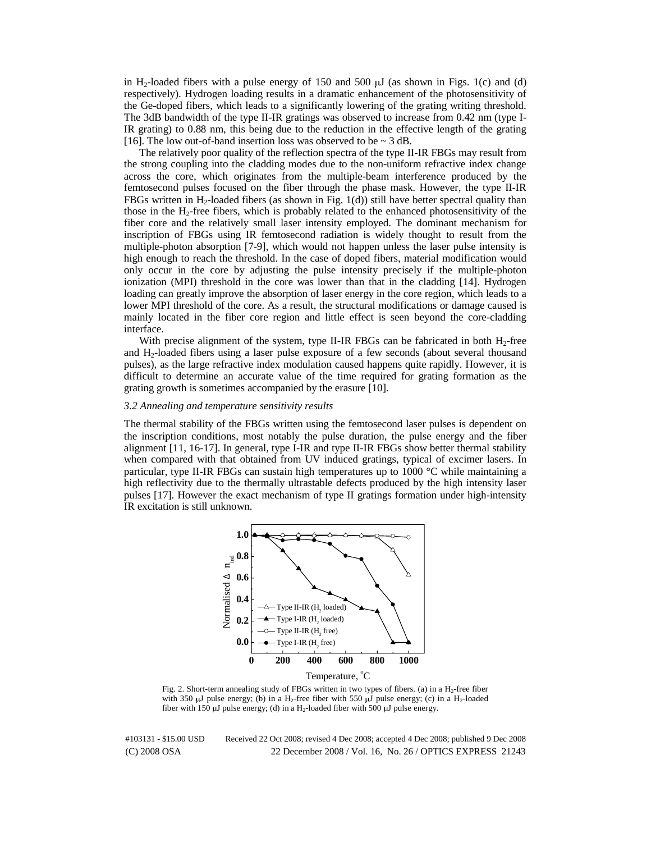in H<sub>2</sub>-loaded fibers with a pulse energy of 150 and 500  $\mu$ J (as shown in Figs. 1(c) and (d) respectively). Hydrogen loading results in a dramatic enhancement of the photosensitivity of the Ge-doped fibers, which leads to a significantly lowering of the grating writing threshold. The 3dB bandwidth of the type II-IR gratings was observed to increase from 0.42 nm (type I-IR grating) to 0.88 nm, this being due to the reduction in the effective length of the grating [16]. The low out-of-band insertion loss was observed to be  $\sim$  3 dB.

The relatively poor quality of the reflection spectra of the type II-IR FBGs may result from the strong coupling into the cladding modes due to the non-uniform refractive index change across the core, which originates from the multiple-beam interference produced by the femtosecond pulses focused on the fiber through the phase mask. However, the type II-IR FBGs written in H<sub>2</sub>-loaded fibers (as shown in Fig.  $1(d)$ ) still have better spectral quality than those in the  $H_2$ -free fibers, which is probably related to the enhanced photosensitivity of the fiber core and the relatively small laser intensity employed. The dominant mechanism for inscription of FBGs using IR femtosecond radiation is widely thought to result from the multiple-photon absorption [7-9], which would not happen unless the laser pulse intensity is high enough to reach the threshold. In the case of doped fibers, material modification would only occur in the core by adjusting the pulse intensity precisely if the multiple-photon ionization (MPI) threshold in the core was lower than that in the cladding [14]. Hydrogen loading can greatly improve the absorption of laser energy in the core region, which leads to a lower MPI threshold of the core. As a result, the structural modifications or damage caused is mainly located in the fiber core region and little effect is seen beyond the core-cladding interface.

With precise alignment of the system, type II-IR FBGs can be fabricated in both  $H_2$ -free and  $H_2$ -loaded fibers using a laser pulse exposure of a few seconds (about several thousand pulses), as the large refractive index modulation caused happens quite rapidly. However, it is difficult to determine an accurate value of the time required for grating formation as the grating growth is sometimes accompanied by the erasure [10].

#### *3.2 Annealing and temperature sensitivity results*

The thermal stability of the FBGs written using the femtosecond laser pulses is dependent on the inscription conditions, most notably the pulse duration, the pulse energy and the fiber alignment [11, 16-17]. In general, type I-IR and type II-IR FBGs show better thermal stability when compared with that obtained from UV induced gratings, typical of excimer lasers. In particular, type II-IR FBGs can sustain high temperatures up to 1000 °C while maintaining a high reflectivity due to the thermally ultrastable defects produced by the high intensity laser pulses [17]. However the exact mechanism of type II gratings formation under high-intensity IR excitation is still unknown.



Temperature, <sup>o</sup>C

Fig. 2. Short-term annealing study of FBGs written in two types of fibers. (a) in a H<sub>2</sub>-free fiber with 350 μJ pulse energy; (b) in a H<sub>2</sub>-free fiber with 550 μJ pulse energy; (c) in a H<sub>2</sub>-loaded fiber with 150  $\mu$ J pulse energy; (d) in a H<sub>2</sub>-loaded fiber with 500  $\mu$ J pulse energy.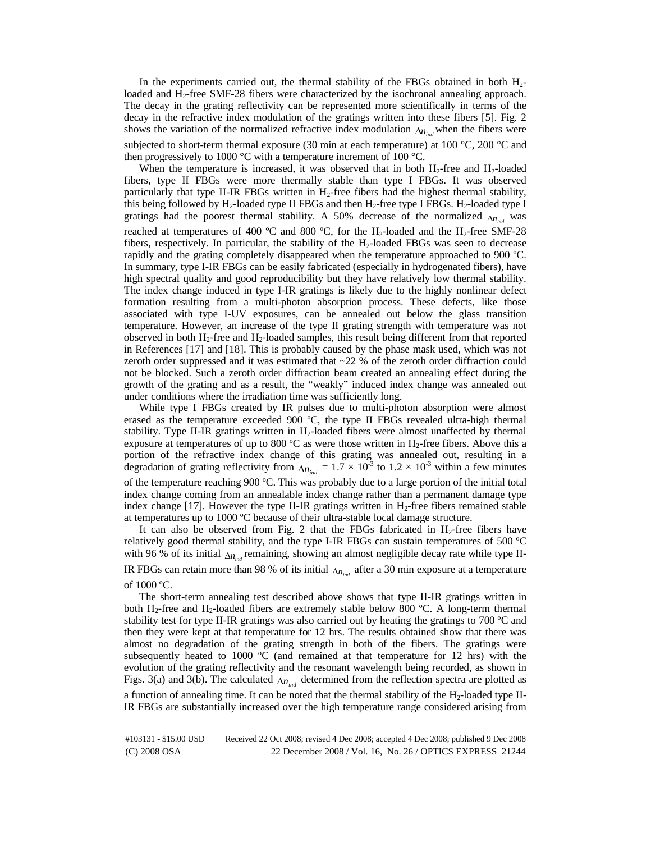In the experiments carried out, the thermal stability of the FBGs obtained in both H<sub>2</sub>loaded and H<sub>2</sub>-free SMF-28 fibers were characterized by the isochronal annealing approach. The decay in the grating reflectivity can be represented more scientifically in terms of the decay in the refractive index modulation of the gratings written into these fibers [5]. Fig. 2 shows the variation of the normalized refractive index modulation  $\Delta n_{ind}$  when the fibers were subjected to short-term thermal exposure (30 min at each temperature) at 100 °C, 200 °C and then progressively to 1000 °C with a temperature increment of 100 °C.

When the temperature is increased, it was observed that in both  $H_2$ -free and  $H_2$ -loaded fibers, type II FBGs were more thermally stable than type I FBGs. It was observed particularly that type II-IR FBGs written in  $H_2$ -free fibers had the highest thermal stability, this being followed by  $H_2$ -loaded type II FBGs and then  $H_2$ -free type I FBGs.  $H_2$ -loaded type I gratings had the poorest thermal stability. A 50% decrease of the normalized  $\Delta n_{\alpha}$  was reached at temperatures of 400 °C and 800 °C, for the H<sub>2</sub>-loaded and the H<sub>2</sub>-free SMF-28 fibers, respectively. In particular, the stability of the  $H_2$ -loaded FBGs was seen to decrease rapidly and the grating completely disappeared when the temperature approached to 900 ºC. In summary, type I-IR FBGs can be easily fabricated (especially in hydrogenated fibers), have high spectral quality and good reproducibility but they have relatively low thermal stability. The index change induced in type I-IR gratings is likely due to the highly nonlinear defect formation resulting from a multi-photon absorption process. These defects, like those associated with type I-UV exposures, can be annealed out below the glass transition temperature. However, an increase of the type II grating strength with temperature was not observed in both  $H_2$ -free and  $H_2$ -loaded samples, this result being different from that reported in References [17] and [18]. This is probably caused by the phase mask used, which was not zeroth order suppressed and it was estimated that ~22 % of the zeroth order diffraction could not be blocked. Such a zeroth order diffraction beam created an annealing effect during the growth of the grating and as a result, the "weakly" induced index change was annealed out under conditions where the irradiation time was sufficiently long.

While type I FBGs created by IR pulses due to multi-photon absorption were almost erased as the temperature exceeded 900 ºC, the type II FBGs revealed ultra-high thermal stability. Type II-IR gratings written in  $H_2$ -loaded fibers were almost unaffected by thermal exposure at temperatures of up to 800  $^{\circ}$ C as were those written in H<sub>2</sub>-free fibers. Above this a portion of the refractive index change of this grating was annealed out, resulting in a degradation of grating reflectivity from  $\Delta n_{ind} = 1.7 \times 10^{-3}$  to  $1.2 \times 10^{-3}$  within a few minutes of the temperature reaching 900 ºC. This was probably due to a large portion of the initial total index change coming from an annealable index change rather than a permanent damage type index change  $[17]$ . However the type II-IR gratings written in  $H_2$ -free fibers remained stable at temperatures up to 1000 ºC because of their ultra-stable local damage structure.

It can also be observed from Fig. 2 that the FBGs fabricated in  $H_2$ -free fibers have relatively good thermal stability, and the type I-IR FBGs can sustain temperatures of 500 ºC with 96 % of its initial  $\Delta n_{ind}$  remaining, showing an almost negligible decay rate while type II-IR FBGs can retain more than 98 % of its initial  $\Delta n_{ind}$  after a 30 min exposure at a temperature of 1000 ºC.

The short-term annealing test described above shows that type II-IR gratings written in both H<sub>2</sub>-free and H<sub>2</sub>-loaded fibers are extremely stable below 800 °C. A long-term thermal stability test for type II-IR gratings was also carried out by heating the gratings to 700 ºC and then they were kept at that temperature for 12 hrs. The results obtained show that there was almost no degradation of the grating strength in both of the fibers. The gratings were subsequently heated to 1000  $^{\circ}$ C (and remained at that temperature for 12 hrs) with the evolution of the grating reflectivity and the resonant wavelength being recorded, as shown in Figs. 3(a) and 3(b). The calculated  $\Delta n_{ind}$  determined from the reflection spectra are plotted as a function of annealing time. It can be noted that the thermal stability of the  $H_2$ -loaded type II-IR FBGs are substantially increased over the high temperature range considered arising from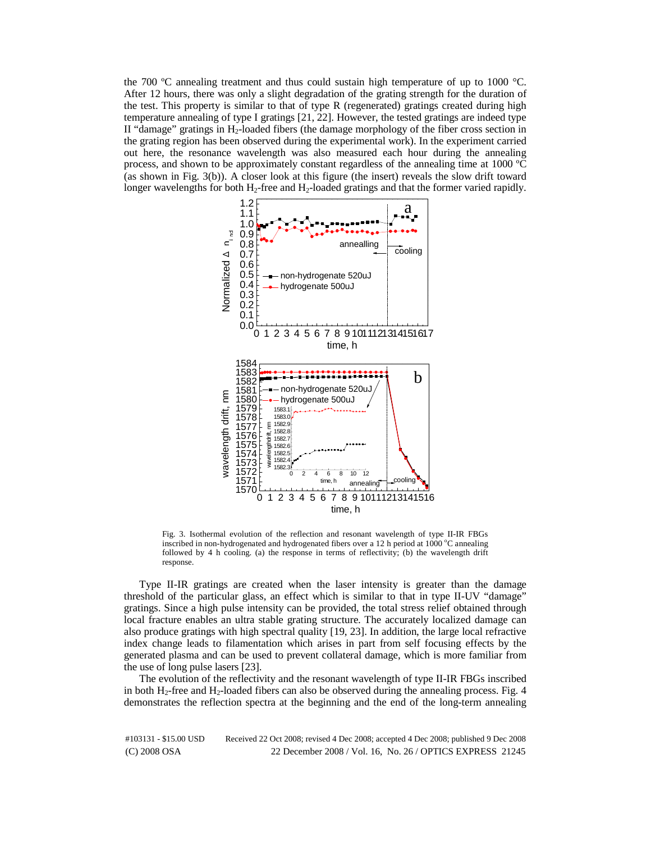the 700 ºC annealing treatment and thus could sustain high temperature of up to 1000 °C. After 12 hours, there was only a slight degradation of the grating strength for the duration of the test. This property is similar to that of type R (regenerated) gratings created during high temperature annealing of type I gratings [21, 22]. However, the tested gratings are indeed type II "damage" gratings in  $H_2$ -loaded fibers (the damage morphology of the fiber cross section in the grating region has been observed during the experimental work). In the experiment carried out here, the resonance wavelength was also measured each hour during the annealing process, and shown to be approximately constant regardless of the annealing time at 1000 ºC (as shown in Fig. 3(b)). A closer look at this figure (the insert) reveals the slow drift toward longer wavelengths for both H<sub>2</sub>-free and H<sub>2</sub>-loaded gratings and that the former varied rapidly.



Fig. 3. Isothermal evolution of the reflection and resonant wavelength of type II-IR FBGs inscribed in non-hydrogenated and hydrogenated fibers over a 12 h period at 1000 °C annealing followed by  $4$  h cooling. (a) the response in terms of reflectivity; (b) the wavelength drift response.

Type II-IR gratings are created when the laser intensity is greater than the damage threshold of the particular glass, an effect which is similar to that in type II-UV "damage" gratings. Since a high pulse intensity can be provided, the total stress relief obtained through local fracture enables an ultra stable grating structure. The accurately localized damage can also produce gratings with high spectral quality [19, 23]. In addition, the large local refractive index change leads to filamentation which arises in part from self focusing effects by the generated plasma and can be used to prevent collateral damage, which is more familiar from the use of long pulse lasers [23].

The evolution of the reflectivity and the resonant wavelength of type II-IR FBGs inscribed in both  $H_2$ -free and  $H_2$ -loaded fibers can also be observed during the annealing process. Fig. 4 demonstrates the reflection spectra at the beginning and the end of the long-term annealing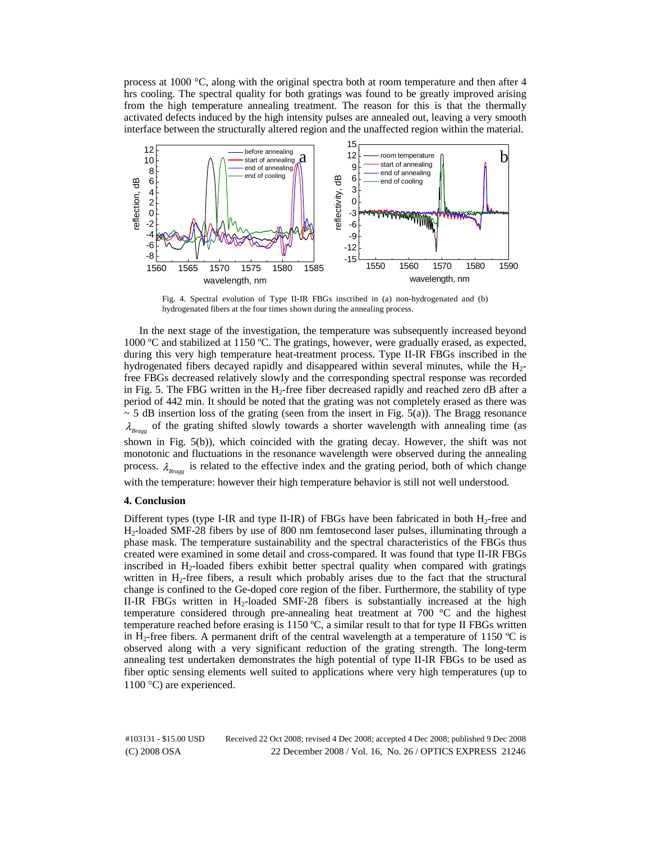process at 1000 °C, along with the original spectra both at room temperature and then after 4 hrs cooling. The spectral quality for both gratings was found to be greatly improved arising from the high temperature annealing treatment. The reason for this is that the thermally activated defects induced by the high intensity pulses are annealed out, leaving a very smooth interface between the structurally altered region and the unaffected region within the material.



Fig. 4. Spectral evolution of Type II-IR FBGs inscribed in (a) non-hydrogenated and (b) hydrogenated fibers at the four times shown during the annealing process.

In the next stage of the investigation, the temperature was subsequently increased beyond 1000 ºC and stabilized at 1150 ºC. The gratings, however, were gradually erased, as expected, during this very high temperature heat-treatment process. Type II-IR FBGs inscribed in the hydrogenated fibers decayed rapidly and disappeared within several minutes, while the H2 free FBGs decreased relatively slowly and the corresponding spectral response was recorded in Fig. 5. The FBG written in the  $H_2$ -free fiber decreased rapidly and reached zero dB after a period of 442 min. It should be noted that the grating was not completely erased as there was  $\sim$  5 dB insertion loss of the grating (seen from the insert in Fig. 5(a)). The Bragg resonance  $\lambda_{Braee}$  of the grating shifted slowly towards a shorter wavelength with annealing time (as shown in Fig. 5(b)), which coincided with the grating decay. However, the shift was not monotonic and fluctuations in the resonance wavelength were observed during the annealing process.  $\lambda_{Bragg}$  is related to the effective index and the grating period, both of which change with the temperature: however their high temperature behavior is still not well understood.

# **4. Conclusion**

Different types (type I-IR and type II-IR) of FBGs have been fabricated in both  $H_2$ -free and H2-loaded SMF-28 fibers by use of 800 nm femtosecond laser pulses, illuminating through a phase mask. The temperature sustainability and the spectral characteristics of the FBGs thus created were examined in some detail and cross-compared. It was found that type II-IR FBGs inscribed in H2-loaded fibers exhibit better spectral quality when compared with gratings written in  $H_2$ -free fibers, a result which probably arises due to the fact that the structural change is confined to the Ge-doped core region of the fiber. Furthermore, the stability of type II-IR FBGs written in H2-loaded SMF-28 fibers is substantially increased at the high temperature considered through pre-annealing heat treatment at 700 °C and the highest temperature reached before erasing is 1150 ºC, a similar result to that for type II FBGs written in H<sub>2</sub>-free fibers. A permanent drift of the central wavelength at a temperature of 1150 °C is observed along with a very significant reduction of the grating strength. The long-term annealing test undertaken demonstrates the high potential of type II-IR FBGs to be used as fiber optic sensing elements well suited to applications where very high temperatures (up to 1100 °C) are experienced.